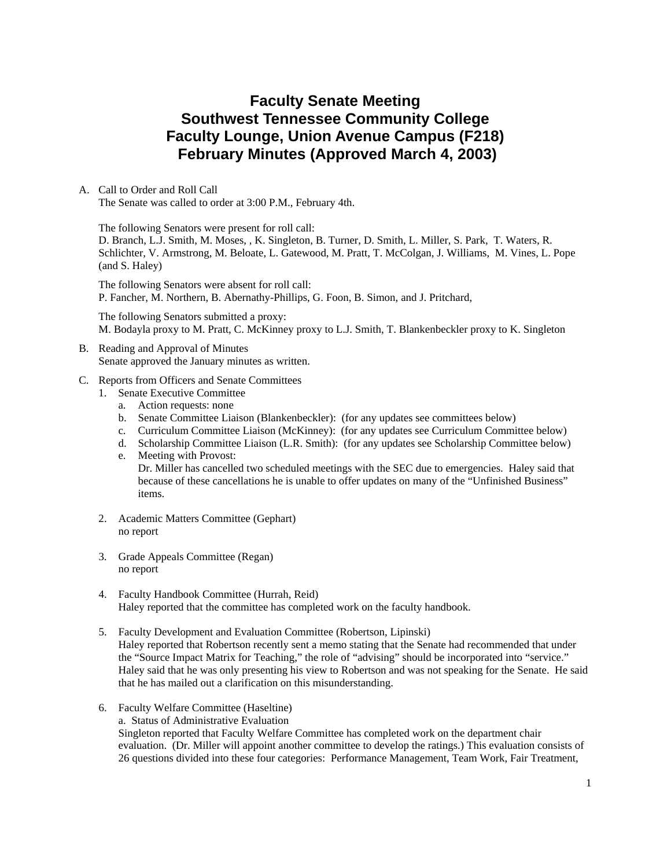# **Faculty Senate Meeting Southwest Tennessee Community College Faculty Lounge, Union Avenue Campus (F218) February Minutes (Approved March 4, 2003)**

A. Call to Order and Roll Call The Senate was called to order at 3:00 P.M., February 4th.

The following Senators were present for roll call: D. Branch, L.J. Smith, M. Moses, , K. Singleton, B. Turner, D. Smith, L. Miller, S. Park, T. Waters, R. Schlichter, V. Armstrong, M. Beloate, L. Gatewood, M. Pratt, T. McColgan, J. Williams, M. Vines, L. Pope (and S. Haley)

The following Senators were absent for roll call: P. Fancher, M. Northern, B. Abernathy-Phillips, G. Foon, B. Simon, and J. Pritchard,

The following Senators submitted a proxy: M. Bodayla proxy to M. Pratt, C. McKinney proxy to L.J. Smith, T. Blankenbeckler proxy to K. Singleton

#### B. Reading and Approval of Minutes Senate approved the January minutes as written.

- C. Reports from Officers and Senate Committees
	- 1. Senate Executive Committee
		- a. Action requests: none
		- b. Senate Committee Liaison (Blankenbeckler): (for any updates see committees below)
		- c. Curriculum Committee Liaison (McKinney): (for any updates see Curriculum Committee below)
		- d. Scholarship Committee Liaison (L.R. Smith): (for any updates see Scholarship Committee below) e. Meeting with Provost:

Dr. Miller has cancelled two scheduled meetings with the SEC due to emergencies. Haley said that because of these cancellations he is unable to offer updates on many of the "Unfinished Business" items.

- 2. Academic Matters Committee (Gephart) no report
- 3. Grade Appeals Committee (Regan) no report
- 4. Faculty Handbook Committee (Hurrah, Reid) Haley reported that the committee has completed work on the faculty handbook.
- 5. Faculty Development and Evaluation Committee (Robertson, Lipinski) Haley reported that Robertson recently sent a memo stating that the Senate had recommended that under the "Source Impact Matrix for Teaching," the role of "advising" should be incorporated into "service." Haley said that he was only presenting his view to Robertson and was not speaking for the Senate. He said that he has mailed out a clarification on this misunderstanding.
- 6. Faculty Welfare Committee (Haseltine)

a. Status of Administrative Evaluation

Singleton reported that Faculty Welfare Committee has completed work on the department chair evaluation. (Dr. Miller will appoint another committee to develop the ratings.) This evaluation consists of 26 questions divided into these four categories: Performance Management, Team Work, Fair Treatment,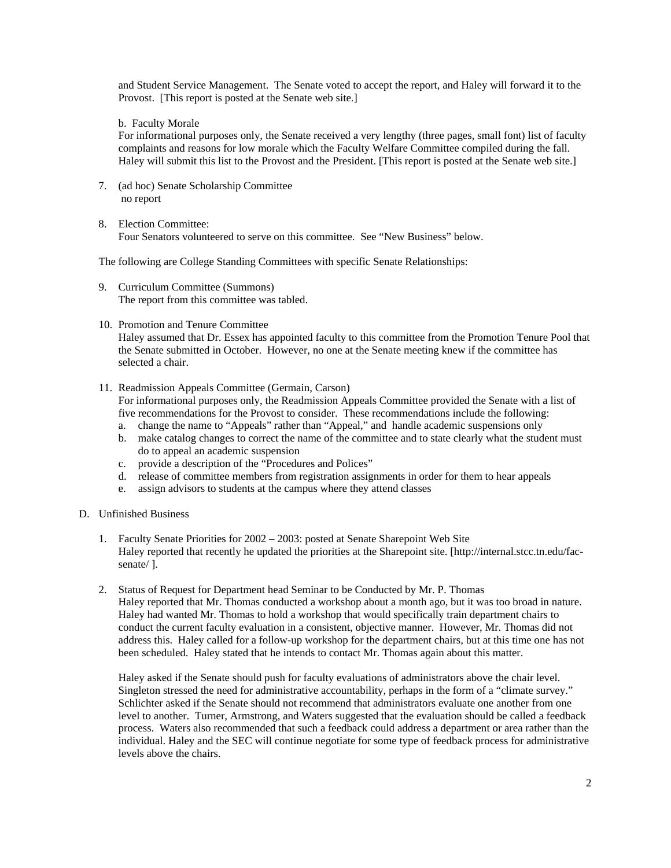and Student Service Management. The Senate voted to accept the report, and Haley will forward it to the Provost. [This report is posted at the Senate web site.]

b. Faculty Morale

For informational purposes only, the Senate received a very lengthy (three pages, small font) list of faculty complaints and reasons for low morale which the Faculty Welfare Committee compiled during the fall. Haley will submit this list to the Provost and the President. [This report is posted at the Senate web site.]

- 7. (ad hoc) Senate Scholarship Committee no report
- 8. Election Committee: Four Senators volunteered to serve on this committee. See "New Business" below.

The following are College Standing Committees with specific Senate Relationships:

- 9. Curriculum Committee (Summons) The report from this committee was tabled.
- 10. Promotion and Tenure Committee

Haley assumed that Dr. Essex has appointed faculty to this committee from the Promotion Tenure Pool that the Senate submitted in October. However, no one at the Senate meeting knew if the committee has selected a chair.

- 11. Readmission Appeals Committee (Germain, Carson) For informational purposes only, the Readmission Appeals Committee provided the Senate with a list of five recommendations for the Provost to consider. These recommendations include the following:
	- a. change the name to "Appeals" rather than "Appeal," and handle academic suspensions only
	- b. make catalog changes to correct the name of the committee and to state clearly what the student must do to appeal an academic suspension
	- c. provide a description of the "Procedures and Polices"
	- d. release of committee members from registration assignments in order for them to hear appeals
	- e. assign advisors to students at the campus where they attend classes
- D. Unfinished Business
	- 1. Faculty Senate Priorities for 2002 2003: posted at Senate Sharepoint Web Site Haley reported that recently he updated the priorities at the Sharepoint site. [http://internal.stcc.tn.edu/facsenate/ ].
	- 2. Status of Request for Department head Seminar to be Conducted by Mr. P. Thomas Haley reported that Mr. Thomas conducted a workshop about a month ago, but it was too broad in nature. Haley had wanted Mr. Thomas to hold a workshop that would specifically train department chairs to conduct the current faculty evaluation in a consistent, objective manner. However, Mr. Thomas did not address this. Haley called for a follow-up workshop for the department chairs, but at this time one has not been scheduled. Haley stated that he intends to contact Mr. Thomas again about this matter.

Haley asked if the Senate should push for faculty evaluations of administrators above the chair level. Singleton stressed the need for administrative accountability, perhaps in the form of a "climate survey." Schlichter asked if the Senate should not recommend that administrators evaluate one another from one level to another. Turner, Armstrong, and Waters suggested that the evaluation should be called a feedback process. Waters also recommended that such a feedback could address a department or area rather than the individual. Haley and the SEC will continue negotiate for some type of feedback process for administrative levels above the chairs.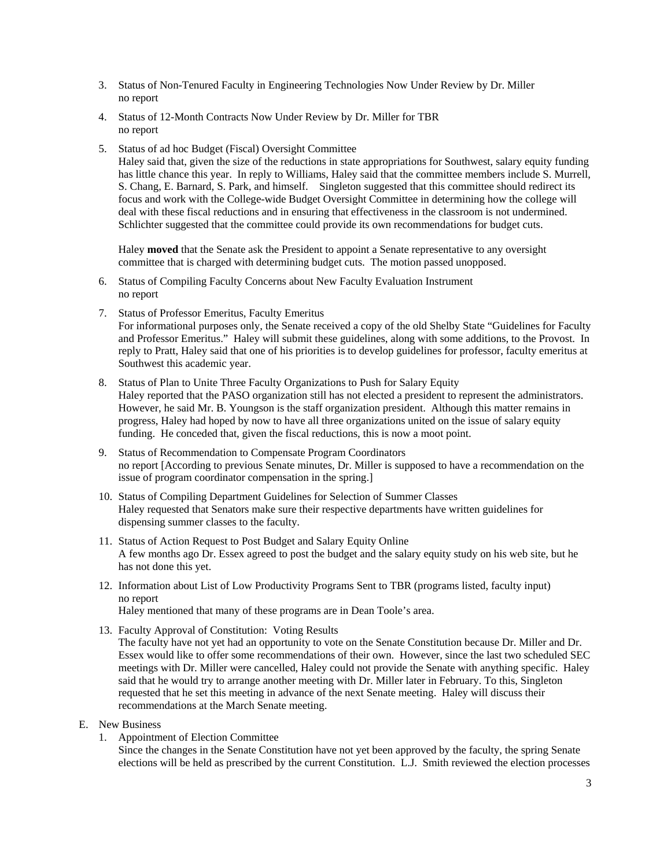- 3. Status of Non-Tenured Faculty in Engineering Technologies Now Under Review by Dr. Miller no report
- 4. Status of 12-Month Contracts Now Under Review by Dr. Miller for TBR no report
- 5. Status of ad hoc Budget (Fiscal) Oversight Committee

Haley said that, given the size of the reductions in state appropriations for Southwest, salary equity funding has little chance this year. In reply to Williams, Haley said that the committee members include S. Murrell, S. Chang, E. Barnard, S. Park, and himself. Singleton suggested that this committee should redirect its focus and work with the College-wide Budget Oversight Committee in determining how the college will deal with these fiscal reductions and in ensuring that effectiveness in the classroom is not undermined. Schlichter suggested that the committee could provide its own recommendations for budget cuts.

Haley **moved** that the Senate ask the President to appoint a Senate representative to any oversight committee that is charged with determining budget cuts. The motion passed unopposed.

- 6. Status of Compiling Faculty Concerns about New Faculty Evaluation Instrument no report
- 7. Status of Professor Emeritus, Faculty Emeritus

For informational purposes only, the Senate received a copy of the old Shelby State "Guidelines for Faculty and Professor Emeritus." Haley will submit these guidelines, along with some additions, to the Provost. In reply to Pratt, Haley said that one of his priorities is to develop guidelines for professor, faculty emeritus at Southwest this academic year.

- 8. Status of Plan to Unite Three Faculty Organizations to Push for Salary Equity Haley reported that the PASO organization still has not elected a president to represent the administrators. However, he said Mr. B. Youngson is the staff organization president. Although this matter remains in progress, Haley had hoped by now to have all three organizations united on the issue of salary equity funding. He conceded that, given the fiscal reductions, this is now a moot point.
- 9. Status of Recommendation to Compensate Program Coordinators no report [According to previous Senate minutes, Dr. Miller is supposed to have a recommendation on the issue of program coordinator compensation in the spring.]
- 10. Status of Compiling Department Guidelines for Selection of Summer Classes Haley requested that Senators make sure their respective departments have written guidelines for dispensing summer classes to the faculty.
- 11. Status of Action Request to Post Budget and Salary Equity Online A few months ago Dr. Essex agreed to post the budget and the salary equity study on his web site, but he has not done this yet.
- 12. Information about List of Low Productivity Programs Sent to TBR (programs listed, faculty input) no report

Haley mentioned that many of these programs are in Dean Toole's area.

13. Faculty Approval of Constitution: Voting Results

The faculty have not yet had an opportunity to vote on the Senate Constitution because Dr. Miller and Dr. Essex would like to offer some recommendations of their own. However, since the last two scheduled SEC meetings with Dr. Miller were cancelled, Haley could not provide the Senate with anything specific. Haley said that he would try to arrange another meeting with Dr. Miller later in February. To this, Singleton requested that he set this meeting in advance of the next Senate meeting. Haley will discuss their recommendations at the March Senate meeting.

- E. New Business
	- 1. Appointment of Election Committee

Since the changes in the Senate Constitution have not yet been approved by the faculty, the spring Senate elections will be held as prescribed by the current Constitution. L.J. Smith reviewed the election processes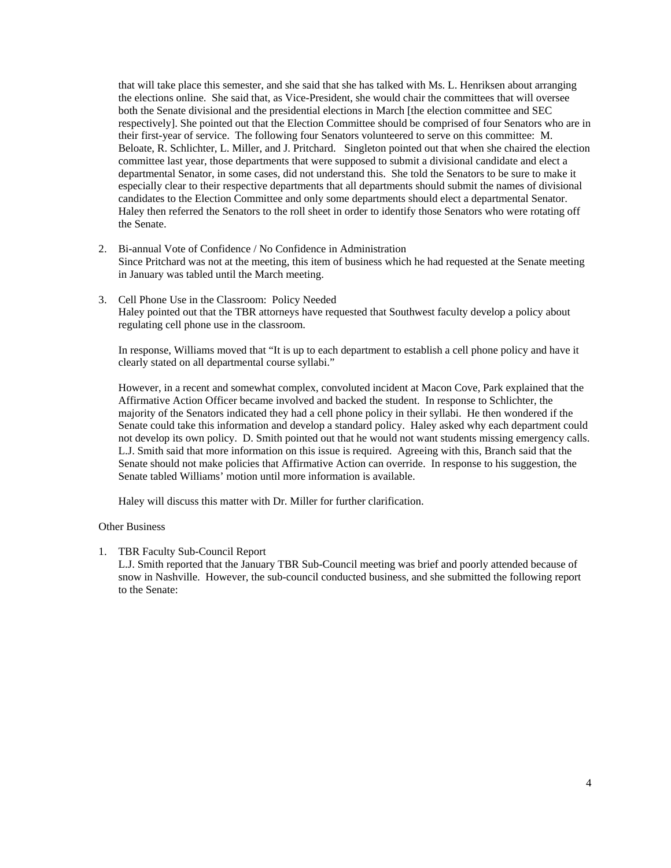that will take place this semester, and she said that she has talked with Ms. L. Henriksen about arranging the elections online. She said that, as Vice-President, she would chair the committees that will oversee both the Senate divisional and the presidential elections in March [the election committee and SEC respectively]. She pointed out that the Election Committee should be comprised of four Senators who are in their first-year of service. The following four Senators volunteered to serve on this committee: M. Beloate, R. Schlichter, L. Miller, and J. Pritchard. Singleton pointed out that when she chaired the election committee last year, those departments that were supposed to submit a divisional candidate and elect a departmental Senator, in some cases, did not understand this. She told the Senators to be sure to make it especially clear to their respective departments that all departments should submit the names of divisional candidates to the Election Committee and only some departments should elect a departmental Senator. Haley then referred the Senators to the roll sheet in order to identify those Senators who were rotating off the Senate.

- 2. Bi-annual Vote of Confidence / No Confidence in Administration Since Pritchard was not at the meeting, this item of business which he had requested at the Senate meeting in January was tabled until the March meeting.
- 3. Cell Phone Use in the Classroom: Policy Needed Haley pointed out that the TBR attorneys have requested that Southwest faculty develop a policy about regulating cell phone use in the classroom.

In response, Williams moved that "It is up to each department to establish a cell phone policy and have it clearly stated on all departmental course syllabi."

However, in a recent and somewhat complex, convoluted incident at Macon Cove, Park explained that the Affirmative Action Officer became involved and backed the student. In response to Schlichter, the majority of the Senators indicated they had a cell phone policy in their syllabi. He then wondered if the Senate could take this information and develop a standard policy. Haley asked why each department could not develop its own policy. D. Smith pointed out that he would not want students missing emergency calls. L.J. Smith said that more information on this issue is required. Agreeing with this, Branch said that the Senate should not make policies that Affirmative Action can override. In response to his suggestion, the Senate tabled Williams' motion until more information is available.

Haley will discuss this matter with Dr. Miller for further clarification.

#### Other Business

1. TBR Faculty Sub-Council Report

L.J. Smith reported that the January TBR Sub-Council meeting was brief and poorly attended because of snow in Nashville. However, the sub-council conducted business, and she submitted the following report to the Senate: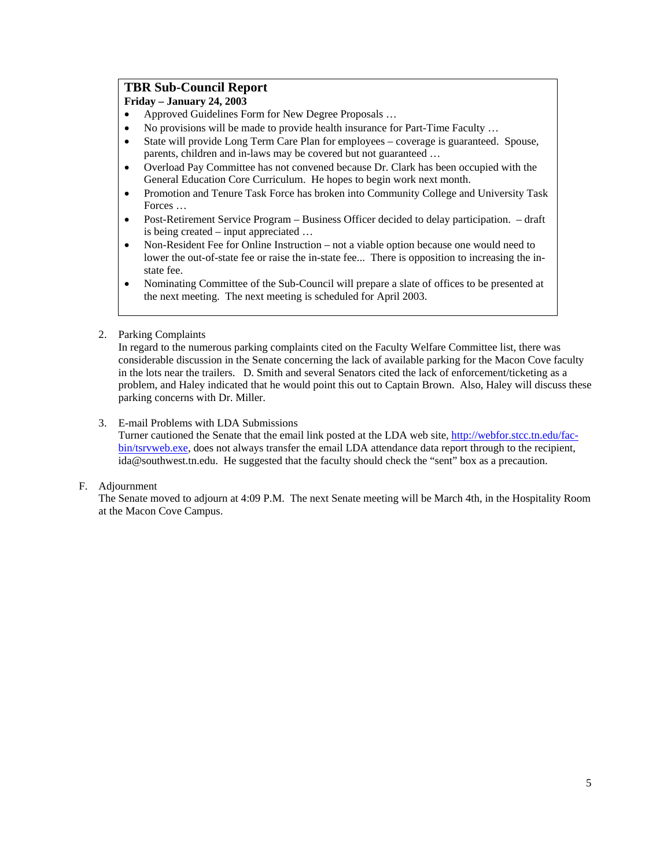## **TBR Sub-Council Report**

**Friday – January 24, 2003**

- Approved Guidelines Form for New Degree Proposals …
- No provisions will be made to provide health insurance for Part-Time Faculty ...
- State will provide Long Term Care Plan for employees coverage is guaranteed. Spouse, parents, children and in-laws may be covered but not guaranteed …
- Overload Pay Committee has not convened because Dr. Clark has been occupied with the General Education Core Curriculum. He hopes to begin work next month.
- Promotion and Tenure Task Force has broken into Community College and University Task Forces …
- Post-Retirement Service Program Business Officer decided to delay participation. draft is being created – input appreciated …
- Non-Resident Fee for Online Instruction not a viable option because one would need to lower the out-of-state fee or raise the in-state fee... There is opposition to increasing the instate fee.
- Nominating Committee of the Sub-Council will prepare a slate of offices to be presented at the next meeting. The next meeting is scheduled for April 2003.
- 2. Parking Complaints

In regard to the numerous parking complaints cited on the Faculty Welfare Committee list, there was considerable discussion in the Senate concerning the lack of available parking for the Macon Cove faculty in the lots near the trailers. D. Smith and several Senators cited the lack of enforcement/ticketing as a problem, and Haley indicated that he would point this out to Captain Brown. Also, Haley will discuss these parking concerns with Dr. Miller.

## 3. E-mail Problems with LDA Submissions

Turner cautioned the Senate that the email link posted at the LDA web site, [http://webfor.stcc.tn.edu/fac](http://webfor.stcc.tn.edu/fac-bin/tsrvweb.exe)[bin/tsrvweb.exe,](http://webfor.stcc.tn.edu/fac-bin/tsrvweb.exe) does not always transfer the email LDA attendance data report through to the recipient, ida@southwest.tn.edu. He suggested that the faculty should check the "sent" box as a precaution.

### F. Adjournment

The Senate moved to adjourn at 4:09 P.M. The next Senate meeting will be March 4th, in the Hospitality Room at the Macon Cove Campus.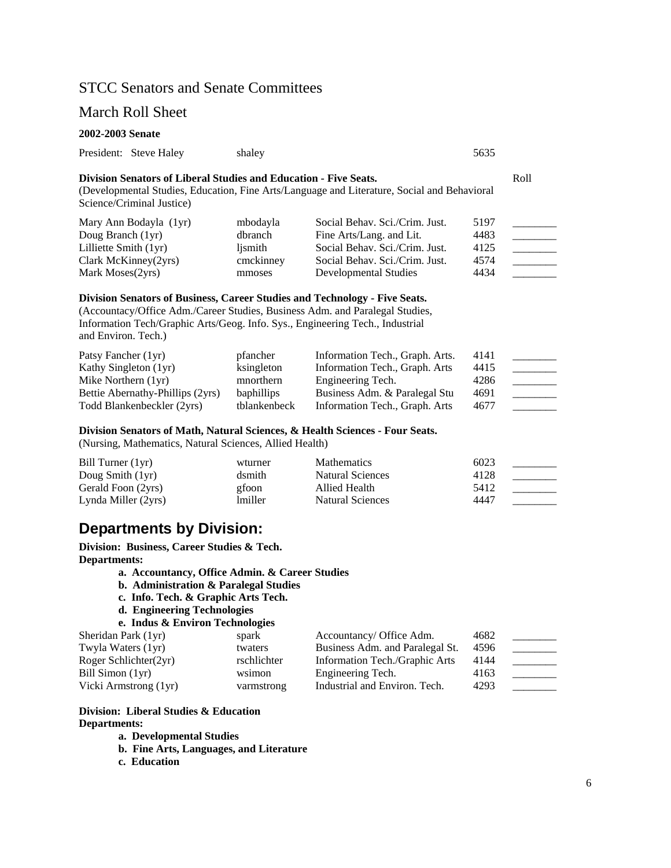# STCC Senators and Senate Committees

## March Roll Sheet

#### **2002-2003 Senate**

|  | President: Steve Haley | shaley | 5635 |
|--|------------------------|--------|------|
|--|------------------------|--------|------|

## **Division Senators of Liberal Studies and Education - Five Seats.** Roll

(Developmental Studies, Education, Fine Arts/Language and Literature, Social and Behavioral Science/Criminal Justice)

| Mary Ann Bodayla (1yr)  | mbodayla  | Social Behav. Sci./Crim. Just. | 5197 |  |
|-------------------------|-----------|--------------------------------|------|--|
| Doug Branch (1yr)       | dbranch   | Fine Arts/Lang. and Lit.       | 4483 |  |
| Lilliette Smith $(1yr)$ | lismith   | Social Behav. Sci./Crim. Just. | 4125 |  |
| Clark McKinney(2yrs)    | cmckinney | Social Behav. Sci./Crim. Just. | 4574 |  |
| Mark Moses(2yrs)        | mmoses    | Developmental Studies          | 4434 |  |

#### **Division Senators of Business, Career Studies and Technology - Five Seats.**

(Accountacy/Office Adm./Career Studies, Business Adm. and Paralegal Studies, Information Tech/Graphic Arts/Geog. Info. Sys., Engineering Tech., Industrial and Environ. Tech.)

| Patsy Fancher (1yr)              | pfancher          | Information Tech., Graph. Arts. | 4141 |  |
|----------------------------------|-------------------|---------------------------------|------|--|
| Kathy Singleton (1yr)            | ksingleton        | Information Tech., Graph. Arts  | 4415 |  |
| Mike Northern $(1yr)$            | mnorthern         | Engineering Tech.               | 4286 |  |
| Bettie Abernathy-Phillips (2yrs) | <b>baphillips</b> | Business Adm. & Paralegal Stu   | 4691 |  |
| Todd Blankenbeckler (2yrs)       | tblankenbeck      | Information Tech., Graph. Arts  | 4677 |  |

#### **Division Senators of Math, Natural Sciences, & Health Sciences - Four Seats.**

(Nursing, Mathematics, Natural Sciences, Allied Health)

| Bill Turner $(1yr)$ | wturner        | <b>Mathematics</b>      | 6023 |  |
|---------------------|----------------|-------------------------|------|--|
| Doug Smith $(1yr)$  | dsmith         | Natural Sciences        | 4128 |  |
| Gerald Foon (2yrs)  | gfoon          | Allied Health           | 5412 |  |
| Lynda Miller (2yrs) | <i>lmiller</i> | <b>Natural Sciences</b> | 4447 |  |

# **Departments by Division:**

**Division: Business, Career Studies & Tech. Departments:** 

- **a. Accountancy, Office Admin. & Career Studies**
- **b. Administration & Paralegal Studies**
- **c. Info. Tech. & Graphic Arts Tech.**
- **d. Engineering Technologies**

```
e. Indus & Environ Technologies
```

| Sheridan Park (1yr)   | spark       | Accountancy/ Office Adm.        | 4682 |  |
|-----------------------|-------------|---------------------------------|------|--|
| Twyla Waters (1yr)    | twaters     | Business Adm. and Paralegal St. | 4596 |  |
| Roger Schlichter(2yr) | rschlichter | Information Tech./Graphic Arts  | 4144 |  |
| Bill Simon (1yr)      | wsimon      | Engineering Tech.               | 4163 |  |
| Vicki Armstrong (1yr) | varmstrong  | Industrial and Environ. Tech.   | 4293 |  |

## **Division: Liberal Studies & Education Departments:**

**a. Developmental Studies** 

- **b. Fine Arts, Languages, and Literature**
- **c. Education**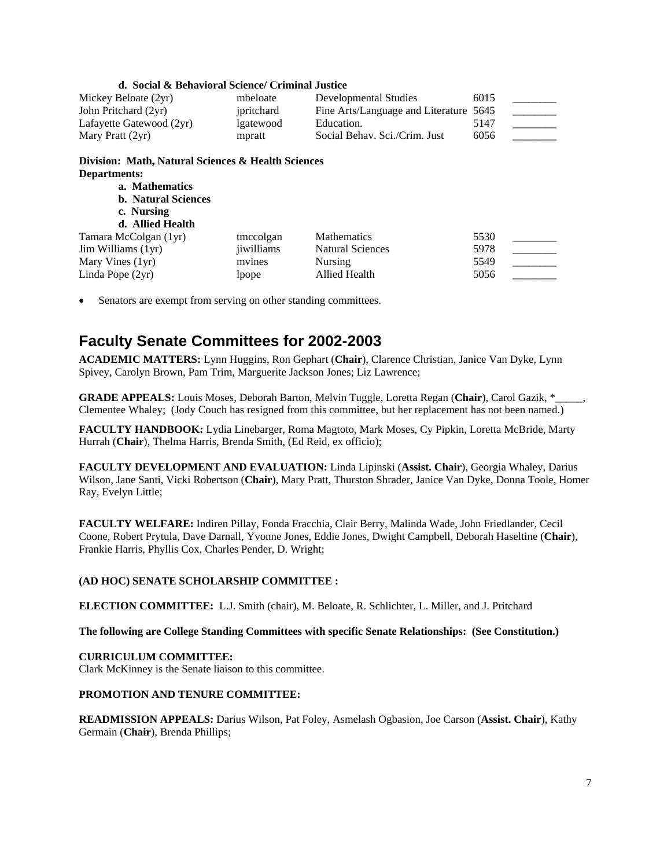| d. Social & Behavioral Science/ Criminal Justice                   |            |                                   |      |  |  |
|--------------------------------------------------------------------|------------|-----------------------------------|------|--|--|
| Mickey Beloate (2yr)                                               | mbeloate   | Developmental Studies             | 6015 |  |  |
| John Pritchard (2yr)                                               | jpritchard | Fine Arts/Language and Literature | 5645 |  |  |
| Lafayette Gatewood (2yr)                                           | lgatewood  | Education.                        | 5147 |  |  |
| Mary Pratt (2yr)                                                   | mpratt     | Social Behav. Sci./Crim. Just     | 6056 |  |  |
| Division: Math, Natural Sciences & Health Sciences<br>Departments: |            |                                   |      |  |  |
| a. Mathematics                                                     |            |                                   |      |  |  |
| <b>b.</b> Natural Sciences                                         |            |                                   |      |  |  |
| c. Nursing                                                         |            |                                   |      |  |  |
| d. Allied Health                                                   |            |                                   |      |  |  |
| Tamara McColgan (1yr)                                              | tmccolgan  | <b>Mathematics</b>                | 5530 |  |  |
| Jim Williams (1yr)                                                 | jiwilliams | <b>Natural Sciences</b>           | 5978 |  |  |
| Mary Vines (1yr)                                                   | mvines     | Nursing                           | 5549 |  |  |
| Linda Pope (2yr)                                                   | lpope      | <b>Allied Health</b>              | 5056 |  |  |

Senators are exempt from serving on other standing committees.

# **Faculty Senate Committees for 2002-2003**

**ACADEMIC MATTERS:** Lynn Huggins, Ron Gephart (**Chair**), Clarence Christian, Janice Van Dyke, Lynn Spivey, Carolyn Brown, Pam Trim, Marguerite Jackson Jones; Liz Lawrence;

**GRADE APPEALS:** Louis Moses, Deborah Barton, Melvin Tuggle, Loretta Regan (**Chair**), Carol Gazik, \*\_\_\_\_\_, Clementee Whaley; (Jody Couch has resigned from this committee, but her replacement has not been named.)

**FACULTY HANDBOOK:** Lydia Linebarger, Roma Magtoto, Mark Moses, Cy Pipkin, Loretta McBride, Marty Hurrah (**Chair**), Thelma Harris, Brenda Smith, (Ed Reid, ex officio);

**FACULTY DEVELOPMENT AND EVALUATION:** Linda Lipinski (**Assist. Chair**), Georgia Whaley, Darius Wilson, Jane Santi, Vicki Robertson (**Chair**), Mary Pratt, Thurston Shrader, Janice Van Dyke, Donna Toole, Homer Ray, Evelyn Little;

**FACULTY WELFARE:** Indiren Pillay, Fonda Fracchia, Clair Berry, Malinda Wade, John Friedlander, Cecil Coone, Robert Prytula, Dave Darnall, Yvonne Jones, Eddie Jones, Dwight Campbell, Deborah Haseltine (**Chair**), Frankie Harris, Phyllis Cox, Charles Pender, D. Wright;

### **(AD HOC) SENATE SCHOLARSHIP COMMITTEE :**

**ELECTION COMMITTEE:** L.J. Smith (chair), M. Beloate, R. Schlichter, L. Miller, and J. Pritchard

### **The following are College Standing Committees with specific Senate Relationships: (See Constitution.)**

#### **CURRICULUM COMMITTEE:**

Clark McKinney is the Senate liaison to this committee.

#### **PROMOTION AND TENURE COMMITTEE:**

**READMISSION APPEALS:** Darius Wilson, Pat Foley, Asmelash Ogbasion, Joe Carson (**Assist. Chair**), Kathy Germain (**Chair**), Brenda Phillips;